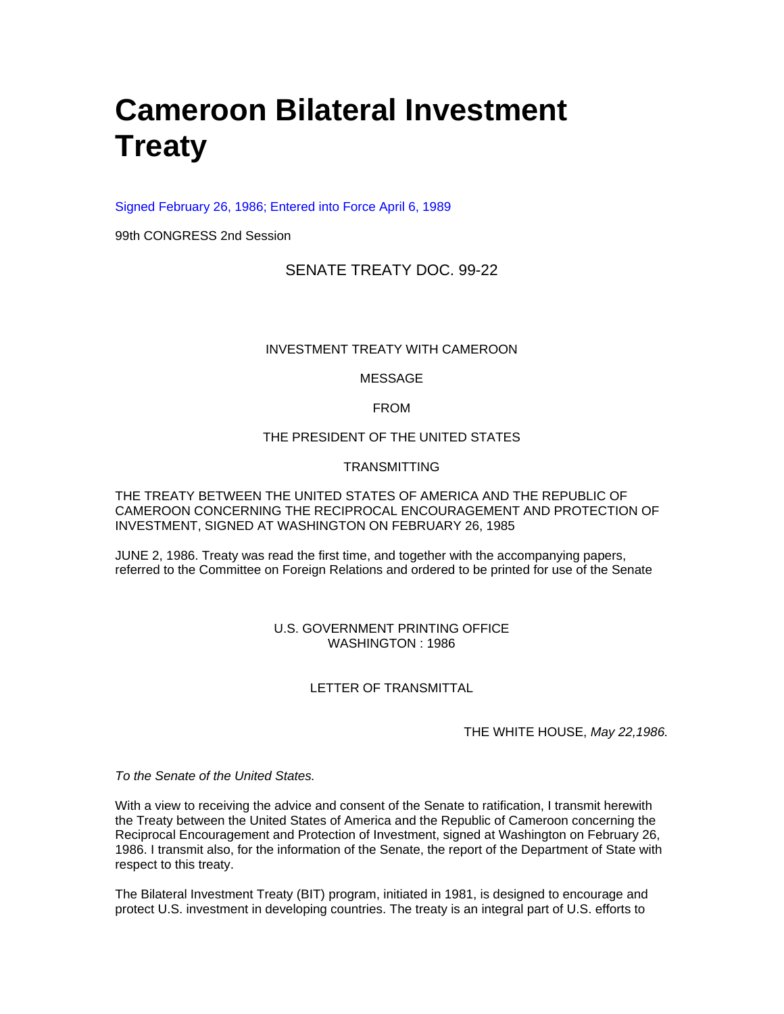# **Cameroon Bilateral Investment Treaty**

Signed February 26, 1986; Entered into Force April 6, 1989

99th CONGRESS 2nd Session

# SENATE TREATY DOC. 99-22

## INVESTMENT TREATY WITH CAMEROON

MESSAGE

## FROM

## THE PRESIDENT OF THE UNITED STATES

**TRANSMITTING** 

THE TREATY BETWEEN THE UNITED STATES OF AMERICA AND THE REPUBLIC OF CAMEROON CONCERNING THE RECIPROCAL ENCOURAGEMENT AND PROTECTION OF INVESTMENT, SIGNED AT WASHINGTON ON FEBRUARY 26, 1985

JUNE 2, 1986. Treaty was read the first time, and together with the accompanying papers, referred to the Committee on Foreign Relations and ordered to be printed for use of the Senate

## U.S. GOVERNMENT PRINTING OFFICE WASHINGTON : 1986

# LETTER OF TRANSMITTAL

## THE WHITE HOUSE, *May 22,1986.*

*To the Senate of the United States.* 

With a view to receiving the advice and consent of the Senate to ratification, I transmit herewith the Treaty between the United States of America and the Republic of Cameroon concerning the Reciprocal Encouragement and Protection of Investment, signed at Washington on February 26, 1986. I transmit also, for the information of the Senate, the report of the Department of State with respect to this treaty.

The Bilateral Investment Treaty (BIT) program, initiated in 1981, is designed to encourage and protect U.S. investment in developing countries. The treaty is an integral part of U.S. efforts to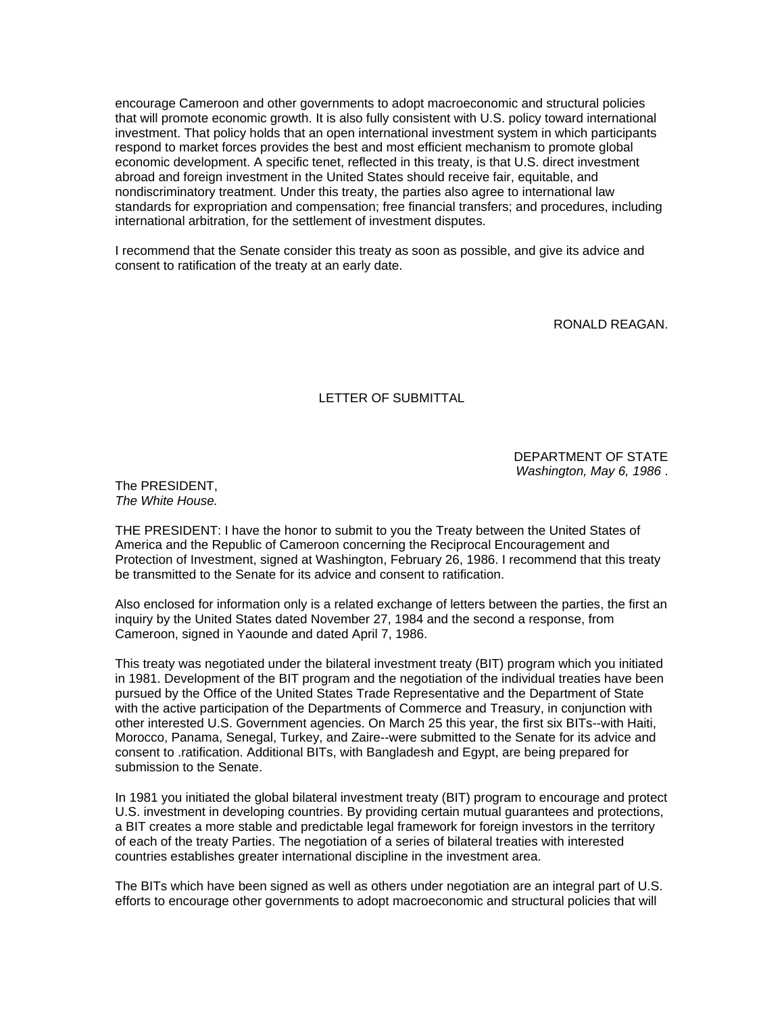encourage Cameroon and other governments to adopt macroeconomic and structural policies that will promote economic growth. It is also fully consistent with U.S. policy toward international investment. That policy holds that an open international investment system in which participants respond to market forces provides the best and most efficient mechanism to promote global economic development. A specific tenet, reflected in this treaty, is that U.S. direct investment abroad and foreign investment in the United States should receive fair, equitable, and nondiscriminatory treatment. Under this treaty, the parties also agree to international law standards for expropriation and compensation; free financial transfers; and procedures, including international arbitration, for the settlement of investment disputes.

I recommend that the Senate consider this treaty as soon as possible, and give its advice and consent to ratification of the treaty at an early date.

RONALD REAGAN.

## LETTER OF SUBMITTAL

DEPARTMENT OF STATE *Washington, May 6, 1986* .

The PRESIDENT, *The White House.* 

THE PRESIDENT: I have the honor to submit to you the Treaty between the United States of America and the Republic of Cameroon concerning the Reciprocal Encouragement and Protection of Investment, signed at Washington, February 26, 1986. I recommend that this treaty be transmitted to the Senate for its advice and consent to ratification.

Also enclosed for information only is a related exchange of letters between the parties, the first an inquiry by the United States dated November 27, 1984 and the second a response, from Cameroon, signed in Yaounde and dated April 7, 1986.

This treaty was negotiated under the bilateral investment treaty (BIT) program which you initiated in 1981. Development of the BIT program and the negotiation of the individual treaties have been pursued by the Office of the United States Trade Representative and the Department of State with the active participation of the Departments of Commerce and Treasury, in conjunction with other interested U.S. Government agencies. On March 25 this year, the first six BITs--with Haiti, Morocco, Panama, Senegal, Turkey, and Zaire--were submitted to the Senate for its advice and consent to .ratification. Additional BITs, with Bangladesh and Egypt, are being prepared for submission to the Senate.

In 1981 you initiated the global bilateral investment treaty (BIT) program to encourage and protect U.S. investment in developing countries. By providing certain mutual guarantees and protections, a BIT creates a more stable and predictable legal framework for foreign investors in the territory of each of the treaty Parties. The negotiation of a series of bilateral treaties with interested countries establishes greater international discipline in the investment area.

The BITs which have been signed as well as others under negotiation are an integral part of U.S. efforts to encourage other governments to adopt macroeconomic and structural policies that will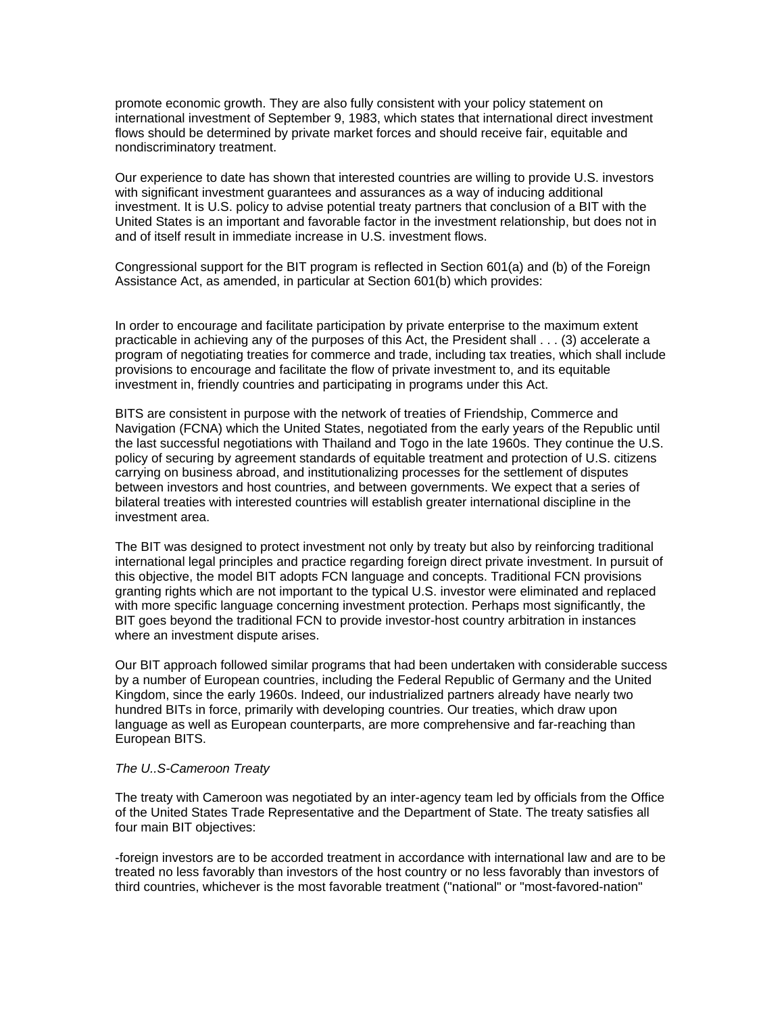promote economic growth. They are also fully consistent with your policy statement on international investment of September 9, 1983, which states that international direct investment flows should be determined by private market forces and should receive fair, equitable and nondiscriminatory treatment.

Our experience to date has shown that interested countries are willing to provide U.S. investors with significant investment guarantees and assurances as a way of inducing additional investment. It is U.S. policy to advise potential treaty partners that conclusion of a BIT with the United States is an important and favorable factor in the investment relationship, but does not in and of itself result in immediate increase in U.S. investment flows.

Congressional support for the BIT program is reflected in Section 601(a) and (b) of the Foreign Assistance Act, as amended, in particular at Section 601(b) which provides:

In order to encourage and facilitate participation by private enterprise to the maximum extent practicable in achieving any of the purposes of this Act, the President shall . . . (3) accelerate a program of negotiating treaties for commerce and trade, including tax treaties, which shall include provisions to encourage and facilitate the flow of private investment to, and its equitable investment in, friendly countries and participating in programs under this Act.

BITS are consistent in purpose with the network of treaties of Friendship, Commerce and Navigation (FCNA) which the United States, negotiated from the early years of the Republic until the last successful negotiations with Thailand and Togo in the late 1960s. They continue the U.S. policy of securing by agreement standards of equitable treatment and protection of U.S. citizens carrying on business abroad, and institutionalizing processes for the settlement of disputes between investors and host countries, and between governments. We expect that a series of bilateral treaties with interested countries will establish greater international discipline in the investment area.

The BIT was designed to protect investment not only by treaty but also by reinforcing traditional international legal principles and practice regarding foreign direct private investment. In pursuit of this objective, the model BIT adopts FCN language and concepts. Traditional FCN provisions granting rights which are not important to the typical U.S. investor were eliminated and replaced with more specific language concerning investment protection. Perhaps most significantly, the BIT goes beyond the traditional FCN to provide investor-host country arbitration in instances where an investment dispute arises.

Our BIT approach followed similar programs that had been undertaken with considerable success by a number of European countries, including the Federal Republic of Germany and the United Kingdom, since the early 1960s. Indeed, our industrialized partners already have nearly two hundred BITs in force, primarily with developing countries. Our treaties, which draw upon language as well as European counterparts, are more comprehensive and far-reaching than European BITS.

#### *The U..S-Cameroon Treaty*

The treaty with Cameroon was negotiated by an inter-agency team led by officials from the Office of the United States Trade Representative and the Department of State. The treaty satisfies all four main BIT objectives:

-foreign investors are to be accorded treatment in accordance with international law and are to be treated no less favorably than investors of the host country or no less favorably than investors of third countries, whichever is the most favorable treatment ("national" or "most-favored-nation"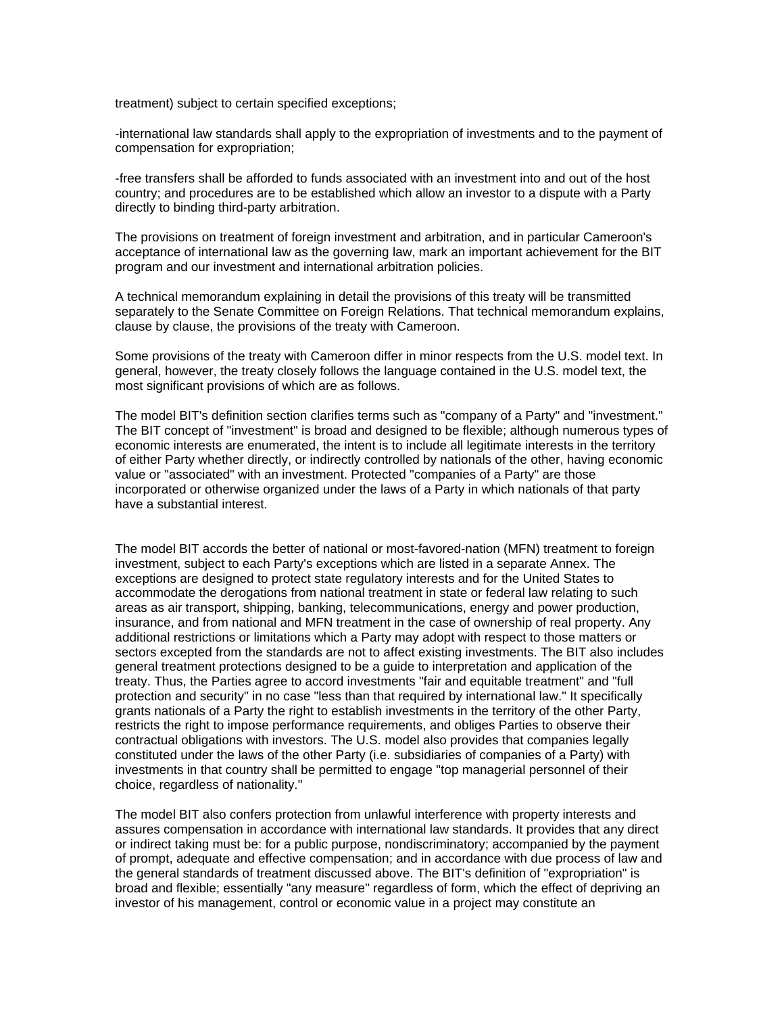treatment) subject to certain specified exceptions;

-international law standards shall apply to the expropriation of investments and to the payment of compensation for expropriation;

-free transfers shall be afforded to funds associated with an investment into and out of the host country; and procedures are to be established which allow an investor to a dispute with a Party directly to binding third-party arbitration.

The provisions on treatment of foreign investment and arbitration, and in particular Cameroon's acceptance of international law as the governing law, mark an important achievement for the BIT program and our investment and international arbitration policies.

A technical memorandum explaining in detail the provisions of this treaty will be transmitted separately to the Senate Committee on Foreign Relations. That technical memorandum explains, clause by clause, the provisions of the treaty with Cameroon.

Some provisions of the treaty with Cameroon differ in minor respects from the U.S. model text. In general, however, the treaty closely follows the language contained in the U.S. model text, the most significant provisions of which are as follows.

The model BIT's definition section clarifies terms such as "company of a Party" and "investment." The BIT concept of "investment" is broad and designed to be flexible; although numerous types of economic interests are enumerated, the intent is to include all legitimate interests in the territory of either Party whether directly, or indirectly controlled by nationals of the other, having economic value or "associated" with an investment. Protected "companies of a Party" are those incorporated or otherwise organized under the laws of a Party in which nationals of that party have a substantial interest.

The model BIT accords the better of national or most-favored-nation (MFN) treatment to foreign investment, subject to each Party's exceptions which are listed in a separate Annex. The exceptions are designed to protect state regulatory interests and for the United States to accommodate the derogations from national treatment in state or federal law relating to such areas as air transport, shipping, banking, telecommunications, energy and power production, insurance, and from national and MFN treatment in the case of ownership of real property. Any additional restrictions or limitations which a Party may adopt with respect to those matters or sectors excepted from the standards are not to affect existing investments. The BIT also includes general treatment protections designed to be a guide to interpretation and application of the treaty. Thus, the Parties agree to accord investments "fair and equitable treatment" and "full protection and security" in no case "less than that required by international law." It specifically grants nationals of a Party the right to establish investments in the territory of the other Party, restricts the right to impose performance requirements, and obliges Parties to observe their contractual obligations with investors. The U.S. model also provides that companies legally constituted under the laws of the other Party (i.e. subsidiaries of companies of a Party) with investments in that country shall be permitted to engage "top managerial personnel of their choice, regardless of nationality."

The model BIT also confers protection from unlawful interference with property interests and assures compensation in accordance with international law standards. It provides that any direct or indirect taking must be: for a public purpose, nondiscriminatory; accompanied by the payment of prompt, adequate and effective compensation; and in accordance with due process of law and the general standards of treatment discussed above. The BIT's definition of "expropriation" is broad and flexible; essentially "any measure" regardless of form, which the effect of depriving an investor of his management, control or economic value in a project may constitute an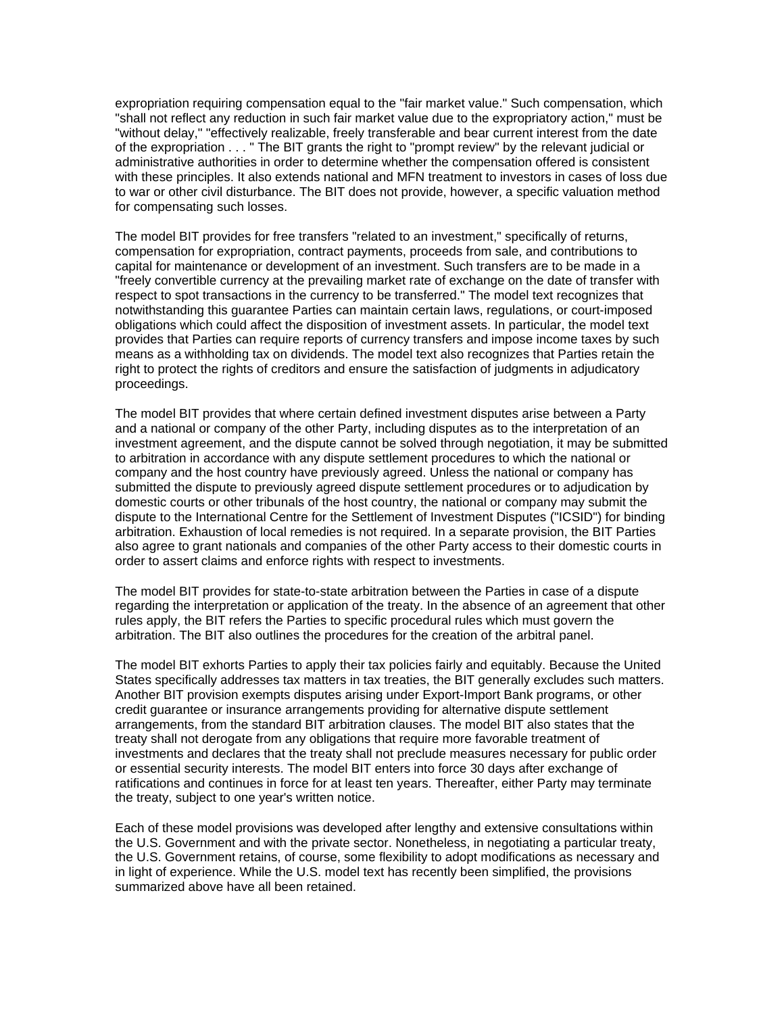expropriation requiring compensation equal to the "fair market value." Such compensation, which "shall not reflect any reduction in such fair market value due to the expropriatory action," must be "without delay," "effectively realizable, freely transferable and bear current interest from the date of the expropriation . . . " The BIT grants the right to "prompt review" by the relevant judicial or administrative authorities in order to determine whether the compensation offered is consistent with these principles. It also extends national and MFN treatment to investors in cases of loss due to war or other civil disturbance. The BIT does not provide, however, a specific valuation method for compensating such losses.

The model BIT provides for free transfers "related to an investment," specifically of returns, compensation for expropriation, contract payments, proceeds from sale, and contributions to capital for maintenance or development of an investment. Such transfers are to be made in a "freely convertible currency at the prevailing market rate of exchange on the date of transfer with respect to spot transactions in the currency to be transferred." The model text recognizes that notwithstanding this guarantee Parties can maintain certain laws, regulations, or court-imposed obligations which could affect the disposition of investment assets. In particular, the model text provides that Parties can require reports of currency transfers and impose income taxes by such means as a withholding tax on dividends. The model text also recognizes that Parties retain the right to protect the rights of creditors and ensure the satisfaction of judgments in adjudicatory proceedings.

The model BIT provides that where certain defined investment disputes arise between a Party and a national or company of the other Party, including disputes as to the interpretation of an investment agreement, and the dispute cannot be solved through negotiation, it may be submitted to arbitration in accordance with any dispute settlement procedures to which the national or company and the host country have previously agreed. Unless the national or company has submitted the dispute to previously agreed dispute settlement procedures or to adjudication by domestic courts or other tribunals of the host country, the national or company may submit the dispute to the International Centre for the Settlement of Investment Disputes ("ICSID") for binding arbitration. Exhaustion of local remedies is not required. In a separate provision, the BIT Parties also agree to grant nationals and companies of the other Party access to their domestic courts in order to assert claims and enforce rights with respect to investments.

The model BIT provides for state-to-state arbitration between the Parties in case of a dispute regarding the interpretation or application of the treaty. In the absence of an agreement that other rules apply, the BIT refers the Parties to specific procedural rules which must govern the arbitration. The BIT also outlines the procedures for the creation of the arbitral panel.

The model BIT exhorts Parties to apply their tax policies fairly and equitably. Because the United States specifically addresses tax matters in tax treaties, the BIT generally excludes such matters. Another BIT provision exempts disputes arising under Export-Import Bank programs, or other credit guarantee or insurance arrangements providing for alternative dispute settlement arrangements, from the standard BIT arbitration clauses. The model BIT also states that the treaty shall not derogate from any obligations that require more favorable treatment of investments and declares that the treaty shall not preclude measures necessary for public order or essential security interests. The model BIT enters into force 30 days after exchange of ratifications and continues in force for at least ten years. Thereafter, either Party may terminate the treaty, subject to one year's written notice.

Each of these model provisions was developed after lengthy and extensive consultations within the U.S. Government and with the private sector. Nonetheless, in negotiating a particular treaty, the U.S. Government retains, of course, some flexibility to adopt modifications as necessary and in light of experience. While the U.S. model text has recently been simplified, the provisions summarized above have all been retained.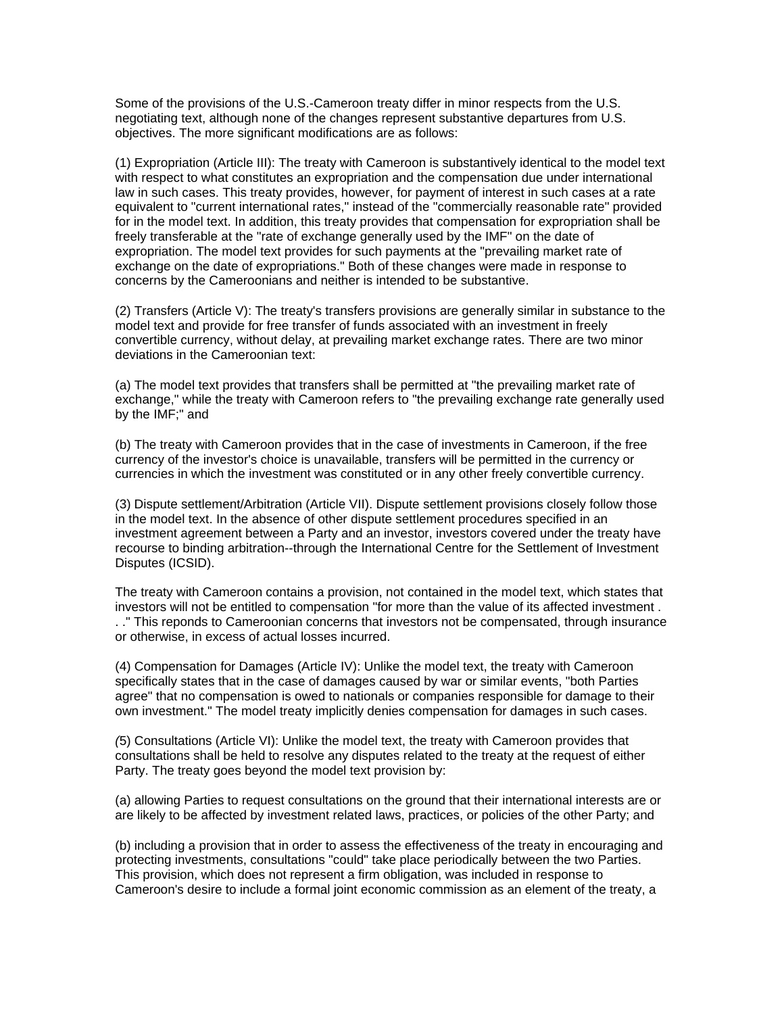Some of the provisions of the U.S.-Cameroon treaty differ in minor respects from the U.S. negotiating text, although none of the changes represent substantive departures from U.S. objectives. The more significant modifications are as follows:

(1) Expropriation (Article III): The treaty with Cameroon is substantively identical to the model text with respect to what constitutes an expropriation and the compensation due under international law in such cases. This treaty provides, however, for payment of interest in such cases at a rate equivalent to "current international rates," instead of the "commercially reasonable rate" provided for in the model text. In addition, this treaty provides that compensation for expropriation shall be freely transferable at the "rate of exchange generally used by the IMF" on the date of expropriation. The model text provides for such payments at the "prevailing market rate of exchange on the date of expropriations." Both of these changes were made in response to concerns by the Cameroonians and neither is intended to be substantive.

(2) Transfers (Article V): The treaty's transfers provisions are generally similar in substance to the model text and provide for free transfer of funds associated with an investment in freely convertible currency, without delay, at prevailing market exchange rates. There are two minor deviations in the Cameroonian text:

(a) The model text provides that transfers shall be permitted at "the prevailing market rate of exchange," while the treaty with Cameroon refers to "the prevailing exchange rate generally used by the IMF;" and

(b) The treaty with Cameroon provides that in the case of investments in Cameroon, if the free currency of the investor's choice is unavailable, transfers will be permitted in the currency or currencies in which the investment was constituted or in any other freely convertible currency.

(3) Dispute settlement/Arbitration (Article VII). Dispute settlement provisions closely follow those in the model text. In the absence of other dispute settlement procedures specified in an investment agreement between a Party and an investor, investors covered under the treaty have recourse to binding arbitration--through the International Centre for the Settlement of Investment Disputes (ICSID).

The treaty with Cameroon contains a provision, not contained in the model text, which states that investors will not be entitled to compensation "for more than the value of its affected investment . . ." This reponds to Cameroonian concerns that investors not be compensated, through insurance or otherwise, in excess of actual losses incurred.

(4) Compensation for Damages (Article IV): Unlike the model text, the treaty with Cameroon specifically states that in the case of damages caused by war or similar events, "both Parties agree" that no compensation is owed to nationals or companies responsible for damage to their own investment." The model treaty implicitly denies compensation for damages in such cases.

*(*5) Consultations (Article VI): Unlike the model text, the treaty with Cameroon provides that consultations shall be held to resolve any disputes related to the treaty at the request of either Party. The treaty goes beyond the model text provision by:

(a) allowing Parties to request consultations on the ground that their international interests are or are likely to be affected by investment related laws, practices, or policies of the other Party; and

(b) including a provision that in order to assess the effectiveness of the treaty in encouraging and protecting investments, consultations "could" take place periodically between the two Parties. This provision, which does not represent a firm obligation, was included in response to Cameroon's desire to include a formal joint economic commission as an element of the treaty, a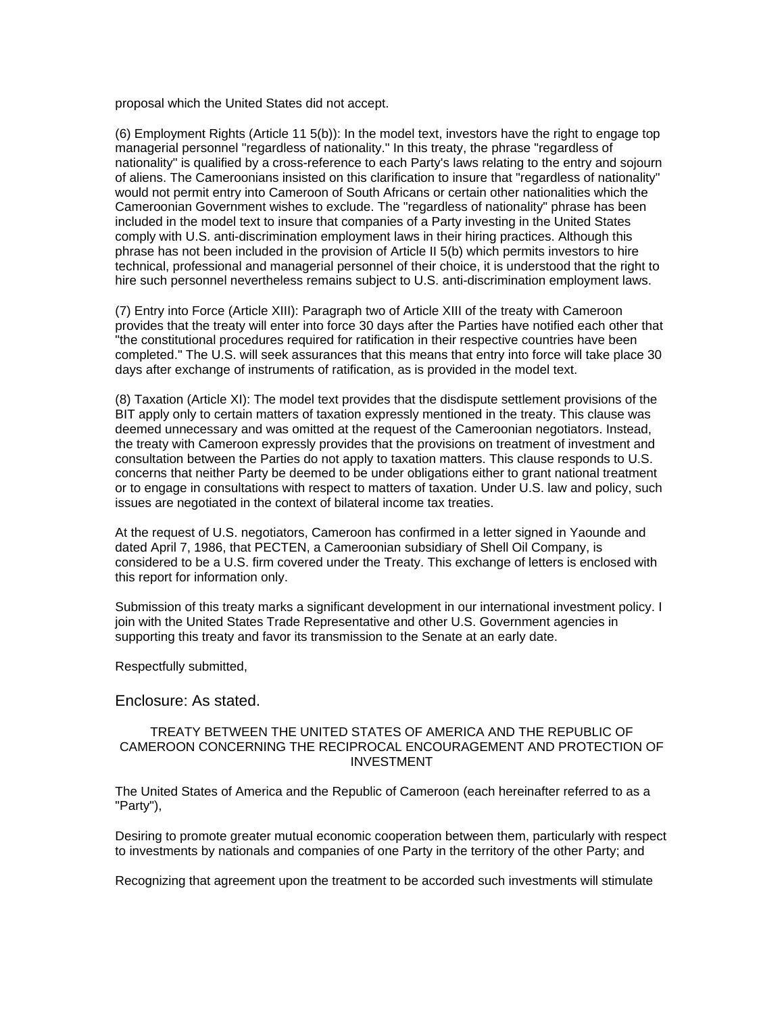proposal which the United States did not accept.

(6) Employment Rights (Article 11 5(b)): In the model text, investors have the right to engage top managerial personnel "regardless of nationality." In this treaty, the phrase "regardless of nationality" is qualified by a cross-reference to each Party's laws relating to the entry and sojourn of aliens. The Cameroonians insisted on this clarification to insure that "regardless of nationality" would not permit entry into Cameroon of South Africans or certain other nationalities which the Cameroonian Government wishes to exclude. The "regardless of nationality" phrase has been included in the model text to insure that companies of a Party investing in the United States comply with U.S. anti-discrimination employment laws in their hiring practices. Although this phrase has not been included in the provision of Article II 5(b) which permits investors to hire technical, professional and managerial personnel of their choice, it is understood that the right to hire such personnel nevertheless remains subject to U.S. anti-discrimination employment laws.

(7) Entry into Force (Article XIII): Paragraph two of Article XIII of the treaty with Cameroon provides that the treaty will enter into force 30 days after the Parties have notified each other that "the constitutional procedures required for ratification in their respective countries have been completed." The U.S. will seek assurances that this means that entry into force will take place 30 days after exchange of instruments of ratification, as is provided in the model text.

(8) Taxation (Article XI): The model text provides that the disdispute settlement provisions of the BIT apply only to certain matters of taxation expressly mentioned in the treaty. This clause was deemed unnecessary and was omitted at the request of the Cameroonian negotiators. Instead, the treaty with Cameroon expressly provides that the provisions on treatment of investment and consultation between the Parties do not apply to taxation matters. This clause responds to U.S. concerns that neither Party be deemed to be under obligations either to grant national treatment or to engage in consultations with respect to matters of taxation. Under U.S. law and policy, such issues are negotiated in the context of bilateral income tax treaties.

At the request of U.S. negotiators, Cameroon has confirmed in a letter signed in Yaounde and dated April 7, 1986, that PECTEN, a Cameroonian subsidiary of Shell Oil Company, is considered to be a U.S. firm covered under the Treaty. This exchange of letters is enclosed with this report for information only.

Submission of this treaty marks a significant development in our international investment policy. I join with the United States Trade Representative and other U.S. Government agencies in supporting this treaty and favor its transmission to the Senate at an early date.

Respectfully submitted,

## Enclosure: As stated.

## TREATY BETWEEN THE UNITED STATES OF AMERICA AND THE REPUBLIC OF CAMEROON CONCERNING THE RECIPROCAL ENCOURAGEMENT AND PROTECTION OF INVESTMENT

The United States of America and the Republic of Cameroon (each hereinafter referred to as a "Party"),

Desiring to promote greater mutual economic cooperation between them, particularly with respect to investments by nationals and companies of one Party in the territory of the other Party; and

Recognizing that agreement upon the treatment to be accorded such investments will stimulate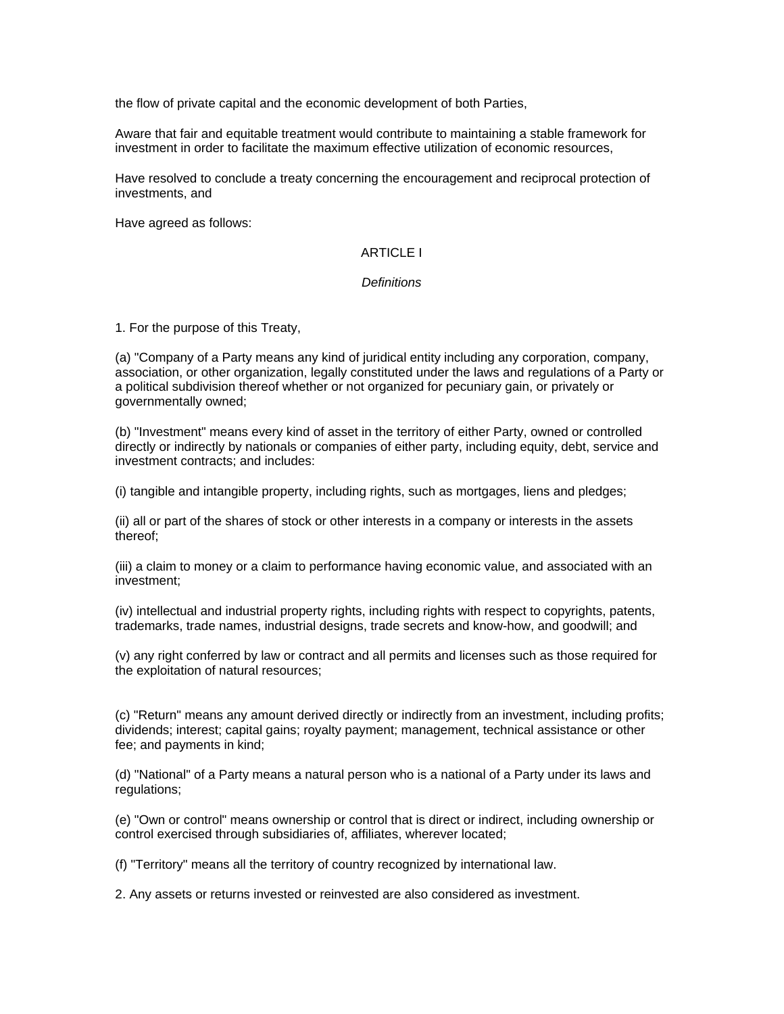the flow of private capital and the economic development of both Parties,

Aware that fair and equitable treatment would contribute to maintaining a stable framework for investment in order to facilitate the maximum effective utilization of economic resources,

Have resolved to conclude a treaty concerning the encouragement and reciprocal protection of investments, and

Have agreed as follows:

# ARTICLE I

#### *Definitions*

1. For the purpose of this Treaty,

(a) "Company of a Party means any kind of juridical entity including any corporation, company, association, or other organization, legally constituted under the laws and regulations of a Party or a political subdivision thereof whether or not organized for pecuniary gain, or privately or governmentally owned;

(b) "Investment" means every kind of asset in the territory of either Party, owned or controlled directly or indirectly by nationals or companies of either party, including equity, debt, service and investment contracts; and includes:

(i) tangible and intangible property, including rights, such as mortgages, liens and pledges;

(ii) all or part of the shares of stock or other interests in a company or interests in the assets thereof;

(iii) a claim to money or a claim to performance having economic value, and associated with an investment;

(iv) intellectual and industrial property rights, including rights with respect to copyrights, patents, trademarks, trade names, industrial designs, trade secrets and know-how, and goodwill; and

(v) any right conferred by law or contract and all permits and licenses such as those required for the exploitation of natural resources;

(c) "Return" means any amount derived directly or indirectly from an investment, including profits; dividends; interest; capital gains; royalty payment; management, technical assistance or other fee; and payments in kind;

(d) "National" of a Party means a natural person who is a national of a Party under its laws and regulations;

(e) "Own or control" means ownership or control that is direct or indirect, including ownership or control exercised through subsidiaries of, affiliates, wherever located;

(f) "Territory" means all the territory of country recognized by international law.

2. Any assets or returns invested or reinvested are also considered as investment.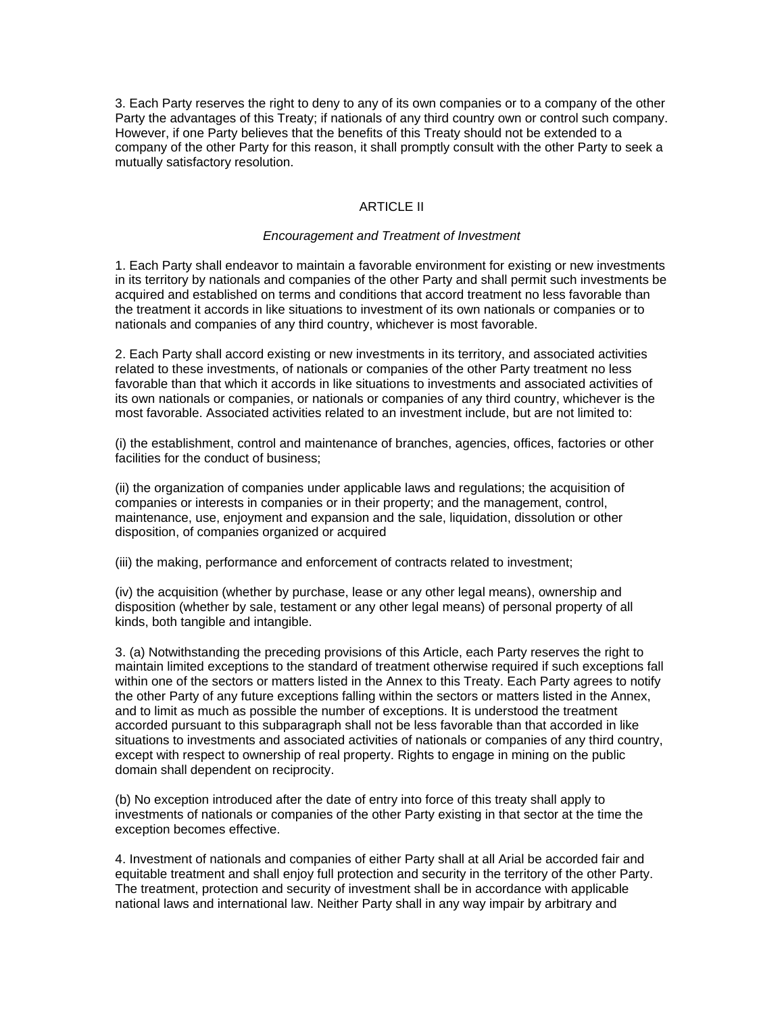3. Each Party reserves the right to deny to any of its own companies or to a company of the other Party the advantages of this Treaty; if nationals of any third country own or control such company. However, if one Party believes that the benefits of this Treaty should not be extended to a company of the other Party for this reason, it shall promptly consult with the other Party to seek a mutually satisfactory resolution.

## ARTICLE II

#### *Encouragement and Treatment of Investment*

1. Each Party shall endeavor to maintain a favorable environment for existing or new investments in its territory by nationals and companies of the other Party and shall permit such investments be acquired and established on terms and conditions that accord treatment no less favorable than the treatment it accords in like situations to investment of its own nationals or companies or to nationals and companies of any third country, whichever is most favorable.

2. Each Party shall accord existing or new investments in its territory, and associated activities related to these investments, of nationals or companies of the other Party treatment no less favorable than that which it accords in like situations to investments and associated activities of its own nationals or companies, or nationals or companies of any third country, whichever is the most favorable. Associated activities related to an investment include, but are not limited to:

(i) the establishment, control and maintenance of branches, agencies, offices, factories or other facilities for the conduct of business;

(ii) the organization of companies under applicable laws and regulations; the acquisition of companies or interests in companies or in their property; and the management, control, maintenance, use, enjoyment and expansion and the sale, liquidation, dissolution or other disposition, of companies organized or acquired

(iii) the making, performance and enforcement of contracts related to investment;

(iv) the acquisition (whether by purchase, lease or any other legal means), ownership and disposition (whether by sale, testament or any other legal means) of personal property of all kinds, both tangible and intangible.

3. (a) Notwithstanding the preceding provisions of this Article, each Party reserves the right to maintain limited exceptions to the standard of treatment otherwise required if such exceptions fall within one of the sectors or matters listed in the Annex to this Treaty. Each Party agrees to notify the other Party of any future exceptions falling within the sectors or matters listed in the Annex, and to limit as much as possible the number of exceptions. It is understood the treatment accorded pursuant to this subparagraph shall not be less favorable than that accorded in like situations to investments and associated activities of nationals or companies of any third country, except with respect to ownership of real property. Rights to engage in mining on the public domain shall dependent on reciprocity.

(b) No exception introduced after the date of entry into force of this treaty shall apply to investments of nationals or companies of the other Party existing in that sector at the time the exception becomes effective.

4. Investment of nationals and companies of either Party shall at all Arial be accorded fair and equitable treatment and shall enjoy full protection and security in the territory of the other Party. The treatment, protection and security of investment shall be in accordance with applicable national laws and international law. Neither Party shall in any way impair by arbitrary and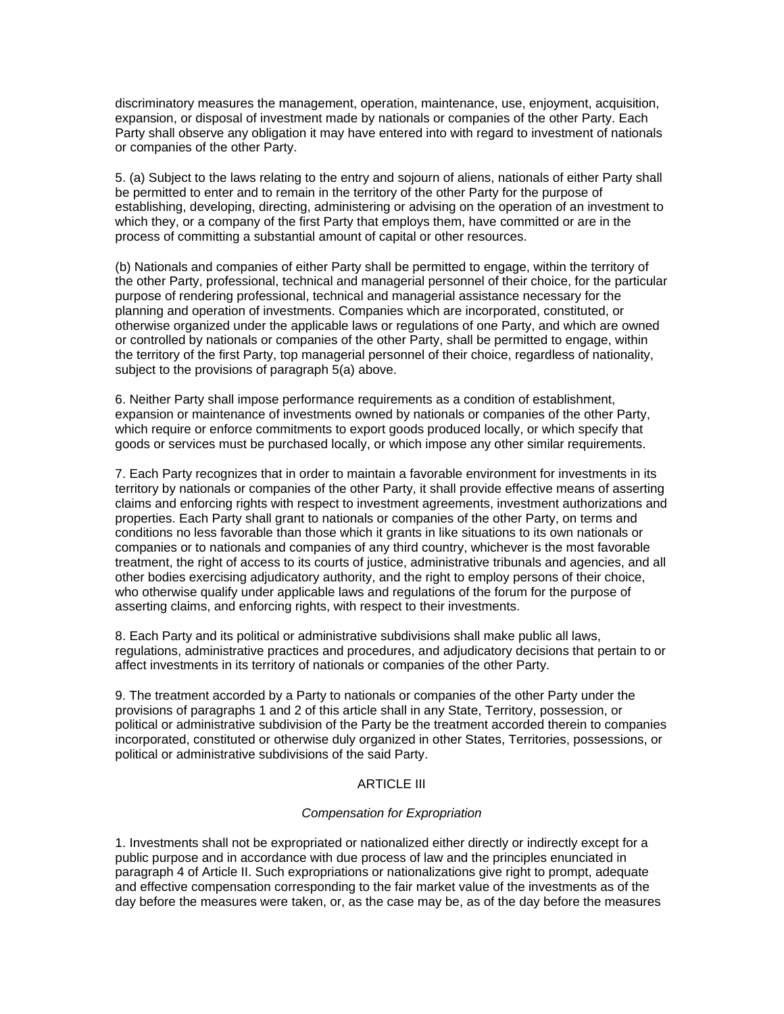discriminatory measures the management, operation, maintenance, use, enjoyment, acquisition, expansion, or disposal of investment made by nationals or companies of the other Party. Each Party shall observe any obligation it may have entered into with regard to investment of nationals or companies of the other Party.

5. (a) Subject to the laws relating to the entry and sojourn of aliens, nationals of either Party shall be permitted to enter and to remain in the territory of the other Party for the purpose of establishing, developing, directing, administering or advising on the operation of an investment to which they, or a company of the first Party that employs them, have committed or are in the process of committing a substantial amount of capital or other resources.

(b) Nationals and companies of either Party shall be permitted to engage, within the territory of the other Party, professional, technical and managerial personnel of their choice, for the particular purpose of rendering professional, technical and managerial assistance necessary for the planning and operation of investments. Companies which are incorporated, constituted, or otherwise organized under the applicable laws or regulations of one Party, and which are owned or controlled by nationals or companies of the other Party, shall be permitted to engage, within the territory of the first Party, top managerial personnel of their choice, regardless of nationality, subject to the provisions of paragraph 5(a) above.

6. Neither Party shall impose performance requirements as a condition of establishment, expansion or maintenance of investments owned by nationals or companies of the other Party, which require or enforce commitments to export goods produced locally, or which specify that goods or services must be purchased locally, or which impose any other similar requirements.

7. Each Party recognizes that in order to maintain a favorable environment for investments in its territory by nationals or companies of the other Party, it shall provide effective means of asserting claims and enforcing rights with respect to investment agreements, investment authorizations and properties. Each Party shall grant to nationals or companies of the other Party, on terms and conditions no less favorable than those which it grants in like situations to its own nationals or companies or to nationals and companies of any third country, whichever is the most favorable treatment, the right of access to its courts of justice, administrative tribunals and agencies, and all other bodies exercising adjudicatory authority, and the right to employ persons of their choice, who otherwise qualify under applicable laws and regulations of the forum for the purpose of asserting claims, and enforcing rights, with respect to their investments.

8. Each Party and its political or administrative subdivisions shall make public all laws, regulations, administrative practices and procedures, and adjudicatory decisions that pertain to or affect investments in its territory of nationals or companies of the other Party.

9. The treatment accorded by a Party to nationals or companies of the other Party under the provisions of paragraphs 1 and 2 of this article shall in any State, Territory, possession, or political or administrative subdivision of the Party be the treatment accorded therein to companies incorporated, constituted or otherwise duly organized in other States, Territories, possessions, or political or administrative subdivisions of the said Party.

#### ARTICLE III

#### *Compensation for Expropriation*

1. Investments shall not be expropriated or nationalized either directly or indirectly except for a public purpose and in accordance with due process of law and the principles enunciated in paragraph 4 of Article II. Such expropriations or nationalizations give right to prompt, adequate and effective compensation corresponding to the fair market value of the investments as of the day before the measures were taken, or, as the case may be, as of the day before the measures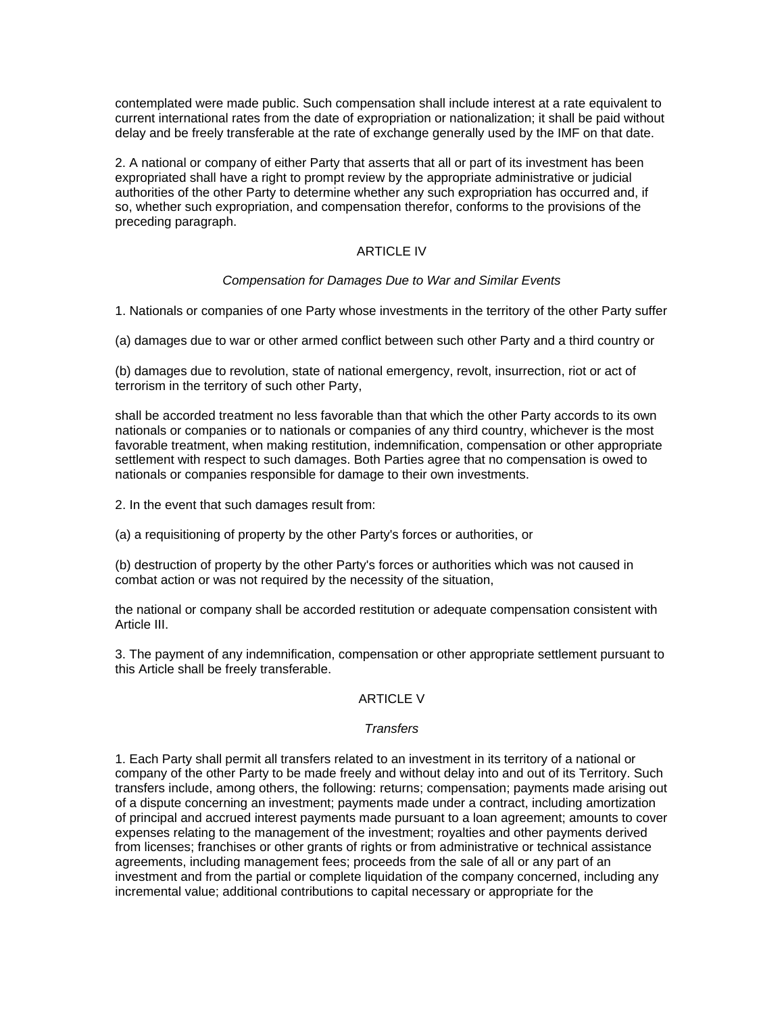contemplated were made public. Such compensation shall include interest at a rate equivalent to current international rates from the date of expropriation or nationalization; it shall be paid without delay and be freely transferable at the rate of exchange generally used by the IMF on that date.

2. A national or company of either Party that asserts that all or part of its investment has been expropriated shall have a right to prompt review by the appropriate administrative or judicial authorities of the other Party to determine whether any such expropriation has occurred and, if so, whether such expropriation, and compensation therefor, conforms to the provisions of the preceding paragraph.

#### **ARTICLE IV**

#### *Compensation for Damages Due to War and Similar Events*

1. Nationals or companies of one Party whose investments in the territory of the other Party suffer

(a) damages due to war or other armed conflict between such other Party and a third country or

(b) damages due to revolution, state of national emergency, revolt, insurrection, riot or act of terrorism in the territory of such other Party,

shall be accorded treatment no less favorable than that which the other Party accords to its own nationals or companies or to nationals or companies of any third country, whichever is the most favorable treatment, when making restitution, indemnification, compensation or other appropriate settlement with respect to such damages. Both Parties agree that no compensation is owed to nationals or companies responsible for damage to their own investments.

2. In the event that such damages result from:

(a) a requisitioning of property by the other Party's forces or authorities, or

(b) destruction of property by the other Party's forces or authorities which was not caused in combat action or was not required by the necessity of the situation,

the national or company shall be accorded restitution or adequate compensation consistent with Article III.

3. The payment of any indemnification, compensation or other appropriate settlement pursuant to this Article shall be freely transferable.

## **ARTICLE V**

## *Transfers*

1. Each Party shall permit all transfers related to an investment in its territory of a national or company of the other Party to be made freely and without delay into and out of its Territory. Such transfers include, among others, the following: returns; compensation; payments made arising out of a dispute concerning an investment; payments made under a contract, including amortization of principal and accrued interest payments made pursuant to a loan agreement; amounts to cover expenses relating to the management of the investment; royalties and other payments derived from licenses; franchises or other grants of rights or from administrative or technical assistance agreements, including management fees; proceeds from the sale of all or any part of an investment and from the partial or complete liquidation of the company concerned, including any incremental value; additional contributions to capital necessary or appropriate for the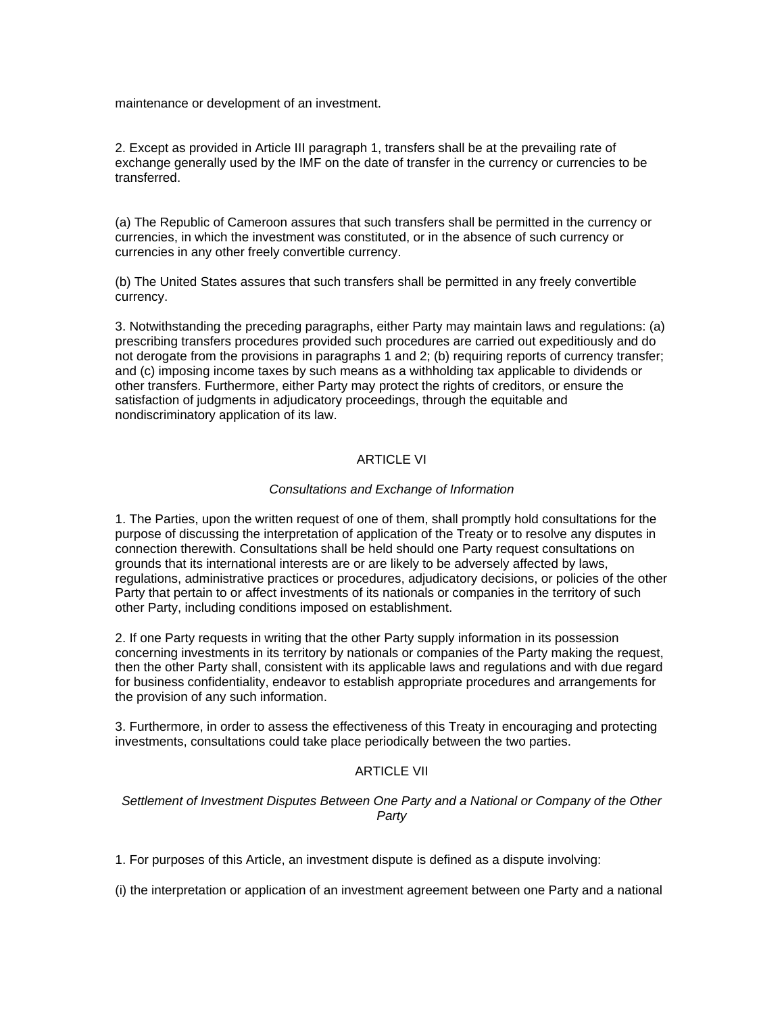maintenance or development of an investment.

2. Except as provided in Article III paragraph 1, transfers shall be at the prevailing rate of exchange generally used by the IMF on the date of transfer in the currency or currencies to be transferred.

(a) The Republic of Cameroon assures that such transfers shall be permitted in the currency or currencies, in which the investment was constituted, or in the absence of such currency or currencies in any other freely convertible currency.

(b) The United States assures that such transfers shall be permitted in any freely convertible currency.

3. Notwithstanding the preceding paragraphs, either Party may maintain laws and regulations: (a) prescribing transfers procedures provided such procedures are carried out expeditiously and do not derogate from the provisions in paragraphs 1 and 2; (b) requiring reports of currency transfer; and (c) imposing income taxes by such means as a withholding tax applicable to dividends or other transfers. Furthermore, either Party may protect the rights of creditors, or ensure the satisfaction of judgments in adjudicatory proceedings, through the equitable and nondiscriminatory application of its law.

# ARTICLE VI

## *Consultations and Exchange of Information*

1. The Parties, upon the written request of one of them, shall promptly hold consultations for the purpose of discussing the interpretation of application of the Treaty or to resolve any disputes in connection therewith. Consultations shall be held should one Party request consultations on grounds that its international interests are or are likely to be adversely affected by laws, regulations, administrative practices or procedures, adjudicatory decisions, or policies of the other Party that pertain to or affect investments of its nationals or companies in the territory of such other Party, including conditions imposed on establishment.

2. If one Party requests in writing that the other Party supply information in its possession concerning investments in its territory by nationals or companies of the Party making the request, then the other Party shall, consistent with its applicable laws and regulations and with due regard for business confidentiality, endeavor to establish appropriate procedures and arrangements for the provision of any such information.

3. Furthermore, in order to assess the effectiveness of this Treaty in encouraging and protecting investments, consultations could take place periodically between the two parties.

## ARTICLE VII

## *Settlement of Investment Disputes Between One Party and a National or Company of the Other Party*

1. For purposes of this Article, an investment dispute is defined as a dispute involving:

(i) the interpretation or application of an investment agreement between one Party and a national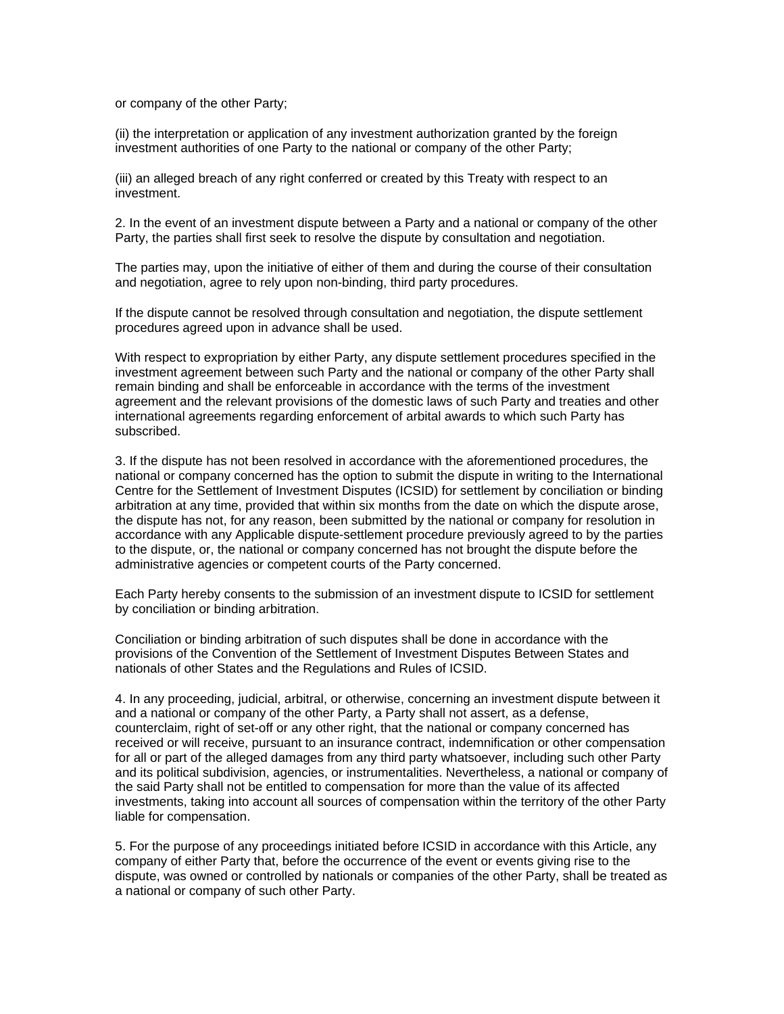or company of the other Party;

(ii) the interpretation or application of any investment authorization granted by the foreign investment authorities of one Party to the national or company of the other Party;

(iii) an alleged breach of any right conferred or created by this Treaty with respect to an investment.

2. In the event of an investment dispute between a Party and a national or company of the other Party, the parties shall first seek to resolve the dispute by consultation and negotiation.

The parties may, upon the initiative of either of them and during the course of their consultation and negotiation, agree to rely upon non-binding, third party procedures.

If the dispute cannot be resolved through consultation and negotiation, the dispute settlement procedures agreed upon in advance shall be used.

With respect to expropriation by either Party, any dispute settlement procedures specified in the investment agreement between such Party and the national or company of the other Party shall remain binding and shall be enforceable in accordance with the terms of the investment agreement and the relevant provisions of the domestic laws of such Party and treaties and other international agreements regarding enforcement of arbital awards to which such Party has subscribed.

3. If the dispute has not been resolved in accordance with the aforementioned procedures, the national or company concerned has the option to submit the dispute in writing to the International Centre for the Settlement of Investment Disputes (ICSID) for settlement by conciliation or binding arbitration at any time, provided that within six months from the date on which the dispute arose, the dispute has not, for any reason, been submitted by the national or company for resolution in accordance with any Applicable dispute-settlement procedure previously agreed to by the parties to the dispute, or, the national or company concerned has not brought the dispute before the administrative agencies or competent courts of the Party concerned.

Each Party hereby consents to the submission of an investment dispute to ICSID for settlement by conciliation or binding arbitration.

Conciliation or binding arbitration of such disputes shall be done in accordance with the provisions of the Convention of the Settlement of Investment Disputes Between States and nationals of other States and the Regulations and Rules of ICSID.

4. In any proceeding, judicial, arbitral, or otherwise, concerning an investment dispute between it and a national or company of the other Party, a Party shall not assert, as a defense, counterclaim, right of set-off or any other right, that the national or company concerned has received or will receive, pursuant to an insurance contract, indemnification or other compensation for all or part of the alleged damages from any third party whatsoever, including such other Party and its political subdivision, agencies, or instrumentalities. Nevertheless, a national or company of the said Party shall not be entitled to compensation for more than the value of its affected investments, taking into account all sources of compensation within the territory of the other Party liable for compensation.

5. For the purpose of any proceedings initiated before ICSID in accordance with this Article, any company of either Party that, before the occurrence of the event or events giving rise to the dispute, was owned or controlled by nationals or companies of the other Party, shall be treated as a national or company of such other Party.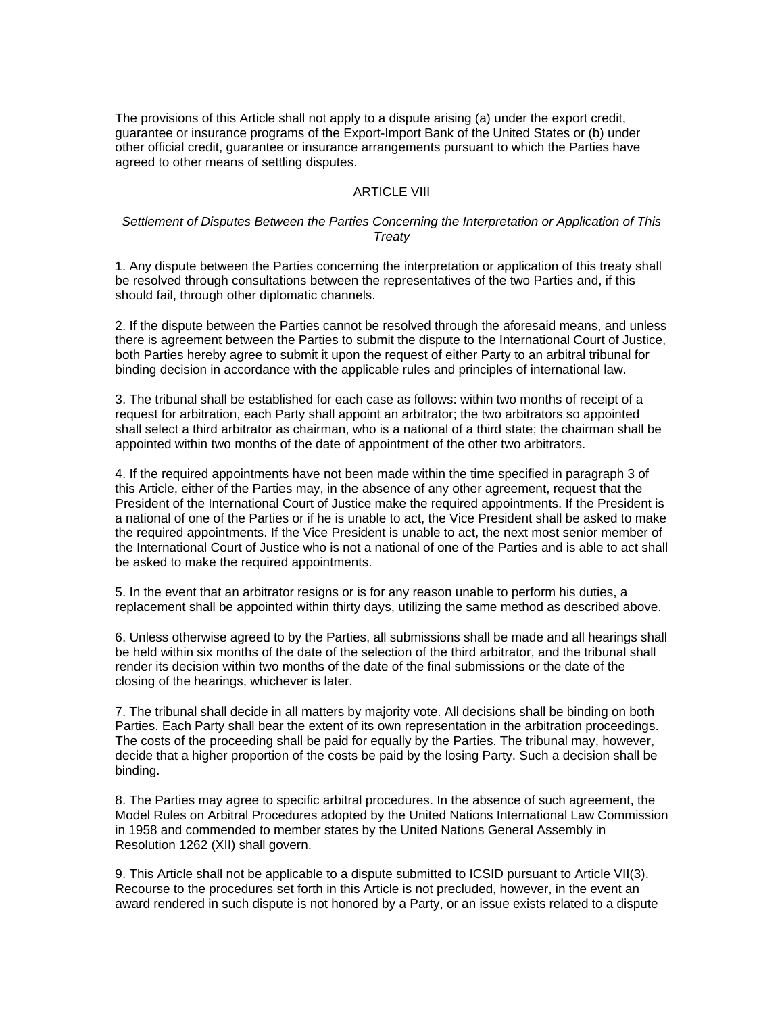The provisions of this Article shall not apply to a dispute arising (a) under the export credit, guarantee or insurance programs of the Export-Import Bank of the United States or (b) under other official credit, guarantee or insurance arrangements pursuant to which the Parties have agreed to other means of settling disputes.

# ARTICLE VIII

## *Settlement of Disputes Between the Parties Concerning the Interpretation or Application of This Treaty*

1. Any dispute between the Parties concerning the interpretation or application of this treaty shall be resolved through consultations between the representatives of the two Parties and, if this should fail, through other diplomatic channels.

2. If the dispute between the Parties cannot be resolved through the aforesaid means, and unless there is agreement between the Parties to submit the dispute to the International Court of Justice, both Parties hereby agree to submit it upon the request of either Party to an arbitral tribunal for binding decision in accordance with the applicable rules and principles of international law.

3. The tribunal shall be established for each case as follows: within two months of receipt of a request for arbitration, each Party shall appoint an arbitrator; the two arbitrators so appointed shall select a third arbitrator as chairman, who is a national of a third state; the chairman shall be appointed within two months of the date of appointment of the other two arbitrators.

4. If the required appointments have not been made within the time specified in paragraph 3 of this Article, either of the Parties may, in the absence of any other agreement, request that the President of the International Court of Justice make the required appointments. If the President is a national of one of the Parties or if he is unable to act, the Vice President shall be asked to make the required appointments. If the Vice President is unable to act, the next most senior member of the International Court of Justice who is not a national of one of the Parties and is able to act shall be asked to make the required appointments.

5. In the event that an arbitrator resigns or is for any reason unable to perform his duties, a replacement shall be appointed within thirty days, utilizing the same method as described above.

6. Unless otherwise agreed to by the Parties, all submissions shall be made and all hearings shall be held within six months of the date of the selection of the third arbitrator, and the tribunal shall render its decision within two months of the date of the final submissions or the date of the closing of the hearings, whichever is later.

7. The tribunal shall decide in all matters by majority vote. All decisions shall be binding on both Parties. Each Party shall bear the extent of its own representation in the arbitration proceedings. The costs of the proceeding shall be paid for equally by the Parties. The tribunal may, however, decide that a higher proportion of the costs be paid by the losing Party. Such a decision shall be binding.

8. The Parties may agree to specific arbitral procedures. In the absence of such agreement, the Model Rules on Arbitral Procedures adopted by the United Nations International Law Commission in 1958 and commended to member states by the United Nations General Assembly in Resolution 1262 (XII) shall govern.

9. This Article shall not be applicable to a dispute submitted to ICSID pursuant to Article VII(3). Recourse to the procedures set forth in this Article is not precluded, however, in the event an award rendered in such dispute is not honored by a Party, or an issue exists related to a dispute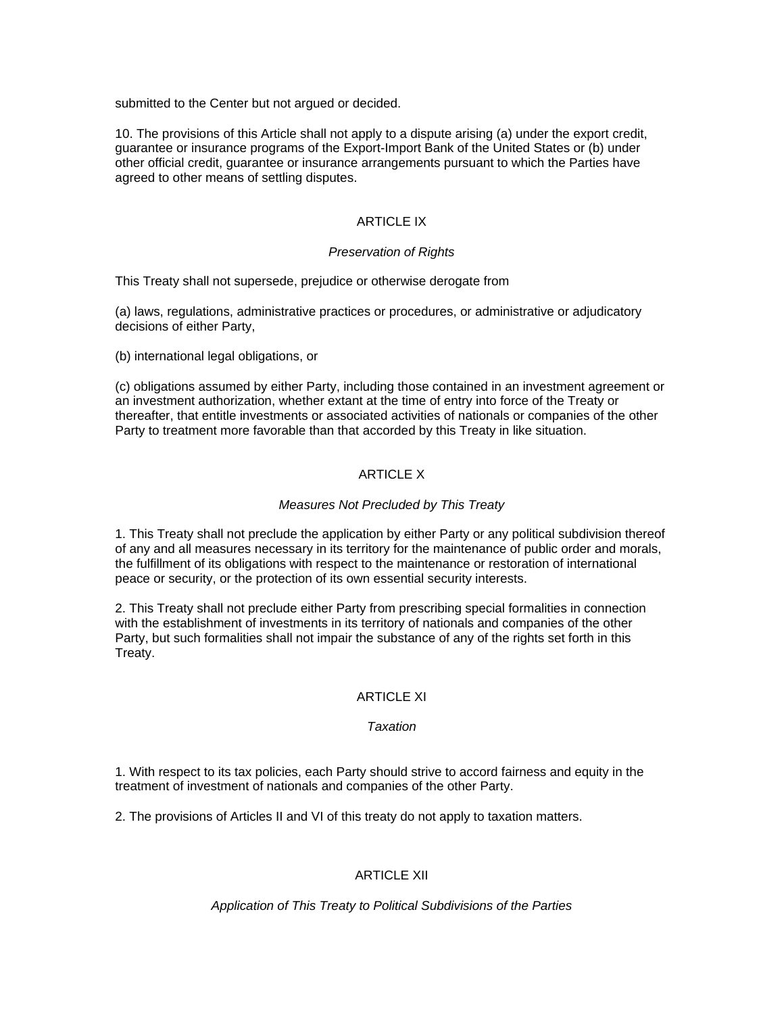submitted to the Center but not argued or decided.

10. The provisions of this Article shall not apply to a dispute arising (a) under the export credit, guarantee or insurance programs of the Export-Import Bank of the United States or (b) under other official credit, guarantee or insurance arrangements pursuant to which the Parties have agreed to other means of settling disputes.

## ARTICLE IX

## *Preservation of Rights*

This Treaty shall not supersede, prejudice or otherwise derogate from

(a) laws, regulations, administrative practices or procedures, or administrative or adjudicatory decisions of either Party,

(b) international legal obligations, or

(c) obligations assumed by either Party, including those contained in an investment agreement or an investment authorization, whether extant at the time of entry into force of the Treaty or thereafter, that entitle investments or associated activities of nationals or companies of the other Party to treatment more favorable than that accorded by this Treaty in like situation.

# ARTICLE X

## *Measures Not Precluded by This Treaty*

1. This Treaty shall not preclude the application by either Party or any political subdivision thereof of any and all measures necessary in its territory for the maintenance of public order and morals, the fulfillment of its obligations with respect to the maintenance or restoration of international peace or security, or the protection of its own essential security interests.

2. This Treaty shall not preclude either Party from prescribing special formalities in connection with the establishment of investments in its territory of nationals and companies of the other Party, but such formalities shall not impair the substance of any of the rights set forth in this Treaty.

## ARTICLE XI

## *Taxation*

1. With respect to its tax policies, each Party should strive to accord fairness and equity in the treatment of investment of nationals and companies of the other Party.

2. The provisions of Articles II and VI of this treaty do not apply to taxation matters.

## ARTICLE XII

## *Application of This Treaty to Political Subdivisions of the Parties*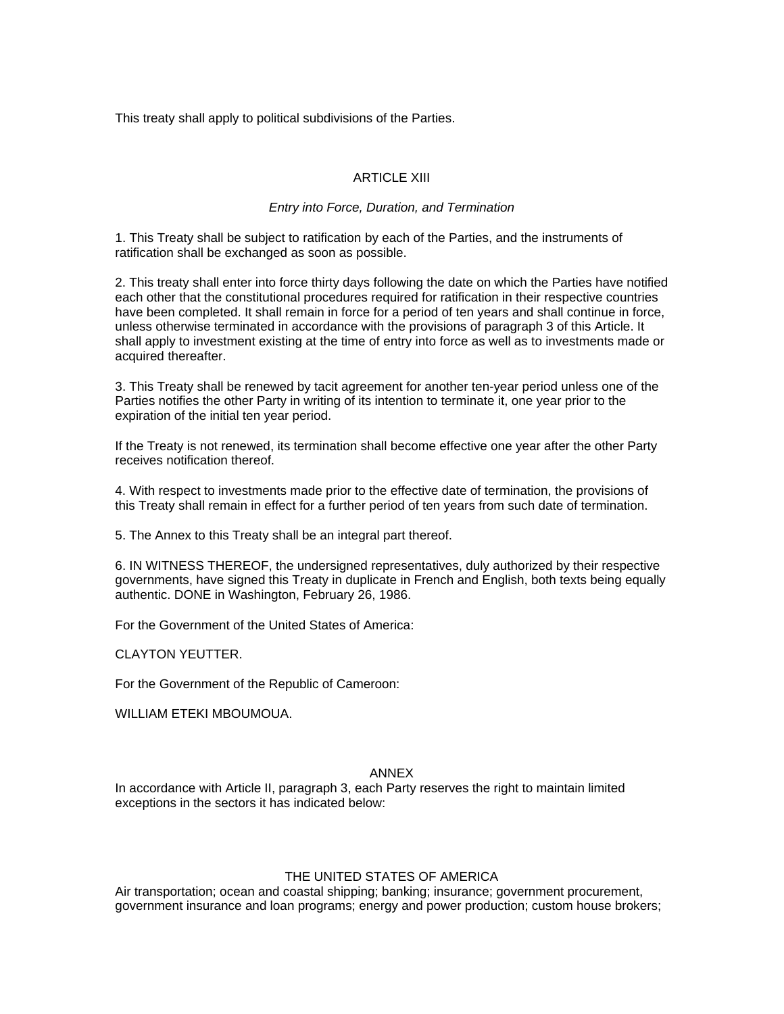This treaty shall apply to political subdivisions of the Parties.

# ARTICLE XIII

## *Entry into Force, Duration, and Termination*

1. This Treaty shall be subject to ratification by each of the Parties, and the instruments of ratification shall be exchanged as soon as possible.

2. This treaty shall enter into force thirty days following the date on which the Parties have notified each other that the constitutional procedures required for ratification in their respective countries have been completed. It shall remain in force for a period of ten years and shall continue in force, unless otherwise terminated in accordance with the provisions of paragraph 3 of this Article. It shall apply to investment existing at the time of entry into force as well as to investments made or acquired thereafter.

3. This Treaty shall be renewed by tacit agreement for another ten-year period unless one of the Parties notifies the other Party in writing of its intention to terminate it, one year prior to the expiration of the initial ten year period.

If the Treaty is not renewed, its termination shall become effective one year after the other Party receives notification thereof.

4. With respect to investments made prior to the effective date of termination, the provisions of this Treaty shall remain in effect for a further period of ten years from such date of termination.

5. The Annex to this Treaty shall be an integral part thereof.

6. IN WITNESS THEREOF, the undersigned representatives, duly authorized by their respective governments, have signed this Treaty in duplicate in French and English, both texts being equally authentic. DONE in Washington, February 26, 1986.

For the Government of the United States of America:

CLAYTON YEUTTER.

For the Government of the Republic of Cameroon:

WILLIAM ETEKI MBOUMOUA.

## ANNEX

In accordance with Article II, paragraph 3, each Party reserves the right to maintain limited exceptions in the sectors it has indicated below:

## THE UNITED STATES OF AMERICA

Air transportation; ocean and coastal shipping; banking; insurance; government procurement, government insurance and loan programs; energy and power production; custom house brokers;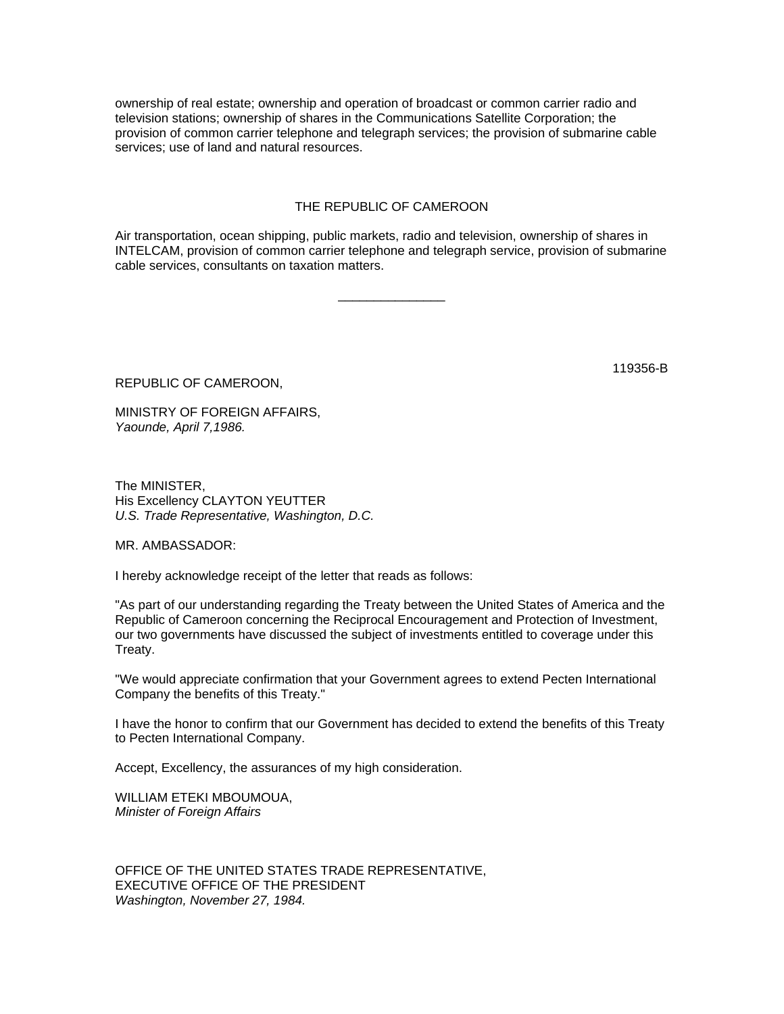ownership of real estate; ownership and operation of broadcast or common carrier radio and television stations; ownership of shares in the Communications Satellite Corporation; the provision of common carrier telephone and telegraph services; the provision of submarine cable services; use of land and natural resources.

## THE REPUBLIC OF CAMEROON

Air transportation, ocean shipping, public markets, radio and television, ownership of shares in INTELCAM, provision of common carrier telephone and telegraph service, provision of submarine cable services, consultants on taxation matters.

\_\_\_\_\_\_\_\_\_\_\_\_\_\_\_

REPUBLIC OF CAMEROON,

119356-B

MINISTRY OF FOREIGN AFFAIRS, *Yaounde, April 7,1986.* 

The MINISTER, His Excellency CLAYTON YEUTTER *U.S. Trade Representative, Washington, D.C.* 

MR. AMBASSADOR:

I hereby acknowledge receipt of the letter that reads as follows:

"As part of our understanding regarding the Treaty between the United States of America and the Republic of Cameroon concerning the Reciprocal Encouragement and Protection of Investment, our two governments have discussed the subject of investments entitled to coverage under this Treaty.

"We would appreciate confirmation that your Government agrees to extend Pecten International Company the benefits of this Treaty."

I have the honor to confirm that our Government has decided to extend the benefits of this Treaty to Pecten International Company.

Accept, Excellency, the assurances of my high consideration.

WILLIAM ETEKI MBOUMOUA, *Minister of Foreign Affairs* 

OFFICE OF THE UNITED STATES TRADE REPRESENTATIVE, EXECUTIVE OFFICE OF THE PRESIDENT *Washington, November 27, 1984.*